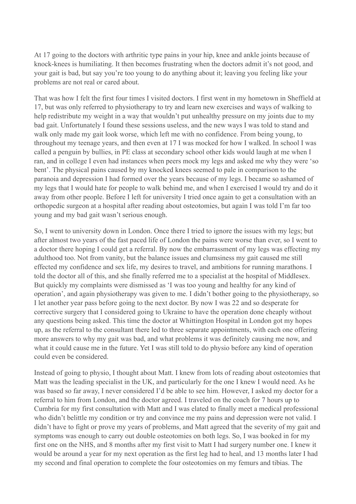At 17 going to the doctors with arthritic type pains in your hip, knee and ankle joints because of knock-knees is humiliating. It then becomes frustrating when the doctors admit it's not good, and your gait is bad, but say you're too young to do anything about it; leaving you feeling like your problems are not real or cared about.

That was how I felt the first four times I visited doctors. I first went in my hometown in Sheffield at 17, but was only referred to physiotherapy to try and learn new exercises and ways of walking to help redistribute my weight in a way that wouldn't put unhealthy pressure on my joints due to my bad gait. Unfortunately I found these sessions useless, and the new ways I was told to stand and walk only made my gait look worse, which left me with no confidence. From being young, to throughout my teenage years, and then even at 17 I was mocked for how I walked. In school I was called a penguin by bullies, in PE class at secondary school other kids would laugh at me when I ran, and in college I even had instances when peers mock my legs and asked me why they were 'so bent'. The physical pains caused by my knocked knees seemed to pale in comparison to the paranoia and depression I had formed over the years because of my legs. I became so ashamed of my legs that I would hate for people to walk behind me, and when I exercised I would try and do it away from other people. Before I left for university I tried once again to get a consultation with an orthopedic surgeon at a hospital after reading about osteotomies, but again I was told I'm far too young and my bad gait wasn't serious enough.

So, I went to university down in London. Once there I tried to ignore the issues with my legs; but after almost two years of the fast paced life of London the pains were worse than ever, so I went to a doctor there hoping I could get a referral. By now the embarrassment of my legs was effecting my adulthood too. Not from vanity, but the balance issues and clumsiness my gait caused me still effected my confidence and sex life, my desires to travel, and ambitions for running marathons. I told the doctor all of this, and she finally referred me to a specialist at the hospital of Middlesex. But quickly my complaints were dismissed as 'I was too young and healthy for any kind of operation', and again physiotherapy was given to me. I didn't bother going to the physiotherapy, so I let another year pass before going to the next doctor. By now I was 22 and so desperate for corrective surgery that I considered going to Ukraine to have the operation done cheaply without any questions being asked. This time the doctor at Whittington Hospital in London got my hopes up, as the referral to the consultant there led to three separate appointments, with each one offering more answers to why my gait was bad, and what problems it was definitely causing me now, and what it could cause me in the future. Yet I was still told to do physio before any kind of operation could even be considered.

Instead of going to physio, I thought about Matt. I knew from lots of reading about osteotomies that Matt was the leading specialist in the UK, and particularly for the one I knew I would need. As he was based so far away, I never considered I'd be able to see him. However, I asked my doctor for a referral to him from London, and the doctor agreed. I traveled on the coach for 7 hours up to Cumbria for my first consultation with Matt and I was elated to finally meet a medical professional who didn't belittle my condition or try and convince me my pains and depression were not valid. I didn't have to fight or prove my years of problems, and Matt agreed that the severity of my gait and symptoms was enough to carry out double osteotomies on both legs. So, I was booked in for my first one on the NHS, and 8 months after my first visit to Matt I had surgery number one. I knew it would be around a year for my next operation as the first leg had to heal, and 13 months later I had my second and final operation to complete the four osteotomies on my femurs and tibias. The